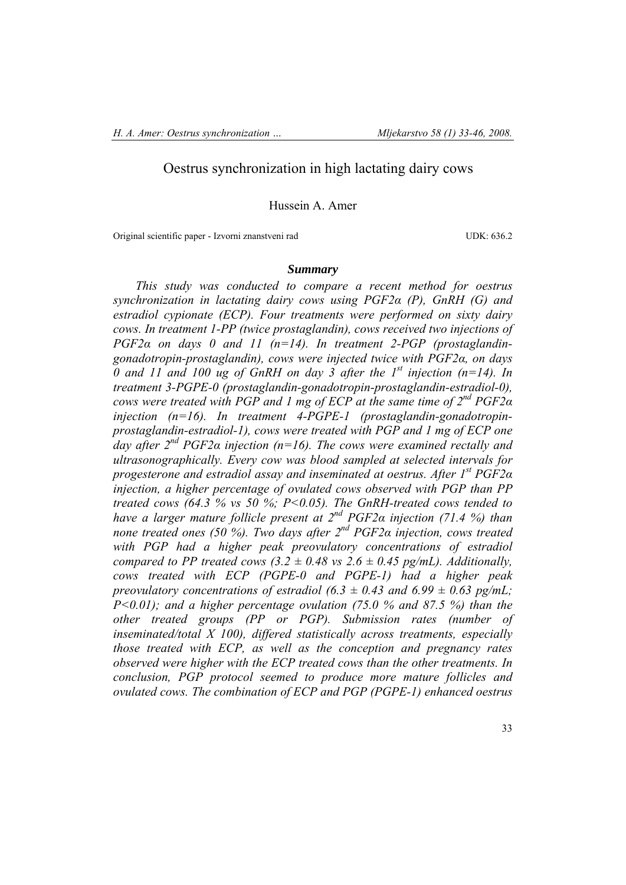# Oestrus synchronization in high lactating dairy cows

Hussein A. Amer

Original scientific paper - Izvorni znanstveni rad UDK: 636.2

# *Summary*

*This study was conducted to compare a recent method for oestrus synchronization in lactating dairy cows using PGF2α (P), GnRH (G) and estradiol cypionate (ECP). Four treatments were performed on sixty dairy cows. In treatment 1-PP (twice prostaglandin), cows received two injections of PGF2α on days 0 and 11 (n=14). In treatment 2-PGP (prostaglandingonadotropin-prostaglandin), cows were injected twice with PGF2α, on days 0 and 11 and 100 ug of GnRH on day 3 after the 1st injection (n=14). In treatment 3-PGPE-0 (prostaglandin-gonadotropin-prostaglandin-estradiol-0), cows were treated with PGP and 1 mg of ECP at the same time of 2nd PGF2α injection (n=16). In treatment 4-PGPE-1 (prostaglandin-gonadotropinprostaglandin-estradiol-1), cows were treated with PGP and 1 mg of ECP one day after 2nd PGF2α injection (n=16). The cows were examined rectally and ultrasonographically. Every cow was blood sampled at selected intervals for progesterone and estradiol assay and inseminated at oestrus. After 1st PGF2α* injection, a higher percentage of ovulated cows observed with PGP than PP *treated cows (64.3 % vs 50 %; P<0.05). The GnRH-treated cows tended to have a larger mature follicle present at 2nd PGF2α injection (71.4 %) than none treated ones (50 %). Two days after 2nd PGF2α injection, cows treated with PGP had a higher peak preovulatory concentrations of estradiol compared to PP treated cows (3.2*  $\pm$  *0.48 vs 2.6*  $\pm$  *0.45 pg/mL). Additionally, cows treated with ECP (PGPE-0 and PGPE-1) had a higher peak preovulatory concentrations of estradiol (6.3*  $\pm$  *0.43 and 6.99*  $\pm$  *0.63 pg/mL; P*<0.01); and a higher percentage ovulation (75.0 % and 87.5 %) than the *other treated groups (PP or PGP). Submission rates (number of inseminated/total X 100), differed statistically across treatments, especially those treated with ECP, as well as the conception and pregnancy rates observed were higher with the ECP treated cows than the other treatments. In conclusion, PGP protocol seemed to produce more mature follicles and ovulated cows. The combination of ECP and PGP (PGPE-1) enhanced oestrus*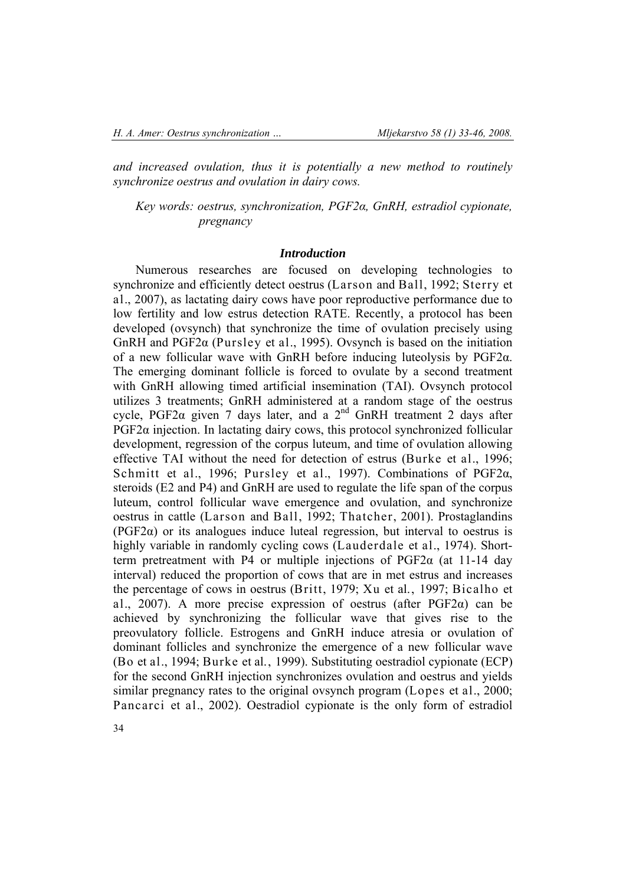*and increased ovulation, thus it is potentially a new method to routinely synchronize oestrus and ovulation in dairy cows.* 

*Key words: oestrus, synchronization, PGF2α, GnRH, estradiol cypionate, pregnancy*

### *Introduction*

Numerous researches are focused on developing technologies to synchronize and efficiently detect oestrus (Larson and Ball, 1992; Sterry et al., 2007), as lactating dairy cows have poor reproductive performance due to low fertility and low estrus detection RATE. Recently, a protocol has been developed (ovsynch) that synchronize the time of ovulation precisely using GnRH and PGF2α (Pursley et al., 1995). Ovsynch is based on the initiation of a new follicular wave with GnRH before inducing luteolysis by PGF2α. The emerging dominant follicle is forced to ovulate by a second treatment with GnRH allowing timed artificial insemination (TAI). Ovsynch protocol utilizes 3 treatments; GnRH administered at a random stage of the oestrus cycle, PGF2 $\alpha$  given 7 days later, and a 2<sup>nd</sup> GnRH treatment 2 days after  $PGF2\alpha$  injection. In lactating dairy cows, this protocol synchronized follicular development, regression of the corpus luteum, and time of ovulation allowing effective TAI without the need for detection of estrus (Burke et al., 1996; Schmitt et al., 1996; Pursley et al., 1997). Combinations of PGF2α, steroids (E2 and P4) and GnRH are used to regulate the life span of the corpus luteum, control follicular wave emergence and ovulation, and synchronize oestrus in cattle (Larson and Ball, 1992; Thatcher, 2001). Prostaglandins  $(PGF2\alpha)$  or its analogues induce luteal regression, but interval to oestrus is highly variable in randomly cycling cows (Lauderdale et al., 1974). Shortterm pretreatment with P4 or multiple injections of  $PGF2\alpha$  (at 11-14 day interval) reduced the proportion of cows that are in met estrus and increases the percentage of cows in oestrus (Britt, 1979; Xu et al., 1997; Bicalho et al., 2007). A more precise expression of oestrus (after  $PGF2\alpha$ ) can be achieved by synchronizing the follicular wave that gives rise to the preovulatory follicle. Estrogens and GnRH induce atresia or ovulation of dominant follicles and synchronize the emergence of a new follicular wave (Bo et al., 1994; Burke et al., 1999). Substituting oestradiol cypionate (ECP) for the second GnRH injection synchronizes ovulation and oestrus and yields similar pregnancy rates to the original ovsynch program (Lopes et al., 2000; Pancarci et al., 2002). Oestradiol cypionate is the only form of estradiol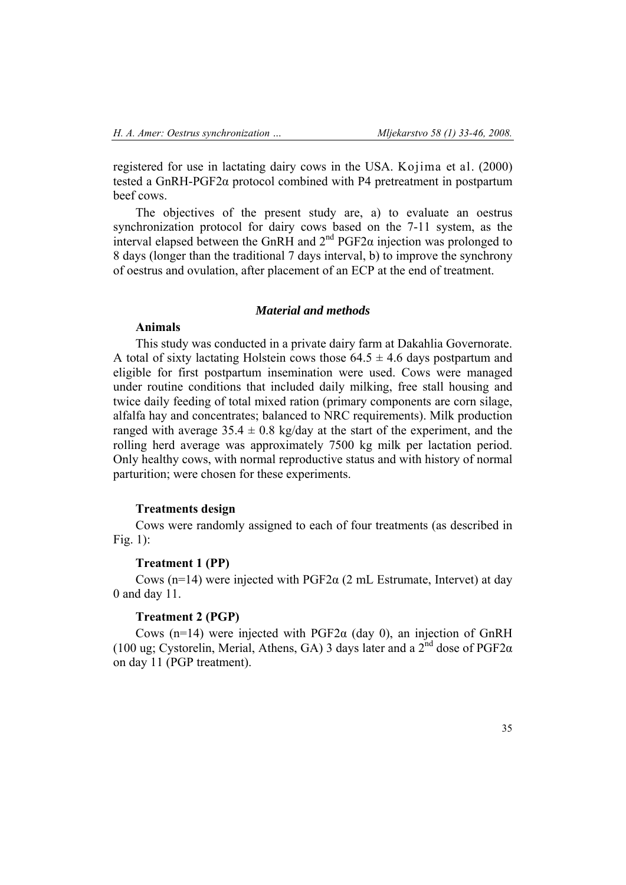registered for use in lactating dairy cows in the USA. Kojima et al. (2000) tested a GnRH-PGF2α protocol combined with P4 pretreatment in postpartum beef cows.

The objectives of the present study are, a) to evaluate an oestrus synchronization protocol for dairy cows based on the 7-11 system, as the interval elapsed between the GnRH and  $2<sup>nd</sup>$  PGF2 $\alpha$  injection was prolonged to 8 days (longer than the traditional 7 days interval, b) to improve the synchrony of oestrus and ovulation, after placement of an ECP at the end of treatment.

## *Material and methods*

## **Animals**

This study was conducted in a private dairy farm at Dakahlia Governorate. A total of sixty lactating Holstein cows those  $64.5 \pm 4.6$  days postpartum and eligible for first postpartum insemination were used. Cows were managed under routine conditions that included daily milking, free stall housing and twice daily feeding of total mixed ration (primary components are corn silage, alfalfa hay and concentrates; balanced to NRC requirements). Milk production ranged with average  $35.4 \pm 0.8$  kg/day at the start of the experiment, and the rolling herd average was approximately 7500 kg milk per lactation period. Only healthy cows, with normal reproductive status and with history of normal parturition; were chosen for these experiments.

### **Treatments design**

Cows were randomly assigned to each of four treatments (as described in Fig. 1):

### **Treatment 1 (PP)**

Cows (n=14) were injected with  $PGF2\alpha$  (2 mL Estrumate, Intervet) at day 0 and day 11.

## **Treatment 2 (PGP)**

Cows (n=14) were injected with  $PGF2\alpha$  (day 0), an injection of GnRH (100 ug; Cystorelin, Merial, Athens, GA) 3 days later and a  $2^{nd}$  dose of PGF2 $\alpha$ on day 11 (PGP treatment).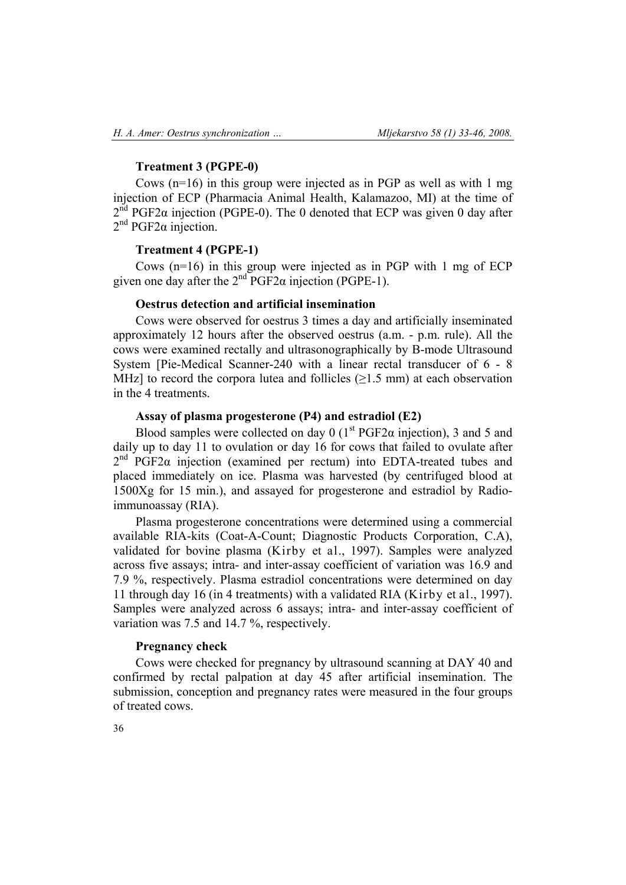## **Treatment 3 (PGPE-0)**

Cows  $(n=16)$  in this group were injected as in PGP as well as with 1 mg injection of ECP (Pharmacia Animal Health, Kalamazoo, MI) at the time of  $2<sup>nd</sup> PGF2\alpha$  injection (PGPE-0). The 0 denoted that ECP was given 0 day after  $2<sup>nd</sup> PGF2\alpha$  injection.

### **Treatment 4 (PGPE-1)**

Cows (n=16) in this group were injected as in PGP with 1 mg of ECP given one day after the  $2<sup>nd</sup>PGF2\alpha$  injection (PGPE-1).

## **Oestrus detection and artificial insemination**

Cows were observed for oestrus 3 times a day and artificially inseminated approximately 12 hours after the observed oestrus (a.m. - p.m. rule). All the cows were examined rectally and ultrasonographically by B-mode Ultrasound System [Pie-Medical Scanner-240 with a linear rectal transducer of 6 - 8 MHz] to record the corpora lutea and follicles  $(\geq 1.5 \text{ mm})$  at each observation in the 4 treatments.

## **Assay of plasma progesterone (P4) and estradiol (E2)**

Blood samples were collected on day 0 ( $1<sup>st</sup> PGF2\alpha$  injection), 3 and 5 and daily up to day 11 to ovulation or day 16 for cows that failed to ovulate after  $2<sup>nd</sup> PGF2\alpha$  injection (examined per rectum) into EDTA-treated tubes and placed immediately on ice. Plasma was harvested (by centrifuged blood at 1500Xg for 15 min.), and assayed for progesterone and estradiol by Radioimmunoassay (RIA).

Plasma progesterone concentrations were determined using a commercial available RIA-kits (Coat-A-Count; Diagnostic Products Corporation, C.A), validated for bovine plasma (Kirby et al., 1997). Samples were analyzed across five assays; intra- and inter-assay coefficient of variation was 16.9 and 7.9 %, respectively. Plasma estradiol concentrations were determined on day 11 through day 16 (in 4 treatments) with a validated RIA (Kirby et al., 1997). Samples were analyzed across 6 assays; intra- and inter-assay coefficient of variation was 7.5 and 14.7 %, respectively.

### **Pregnancy check**

Cows were checked for pregnancy by ultrasound scanning at DAY 40 and confirmed by rectal palpation at day 45 after artificial insemination. The submission, conception and pregnancy rates were measured in the four groups of treated cows.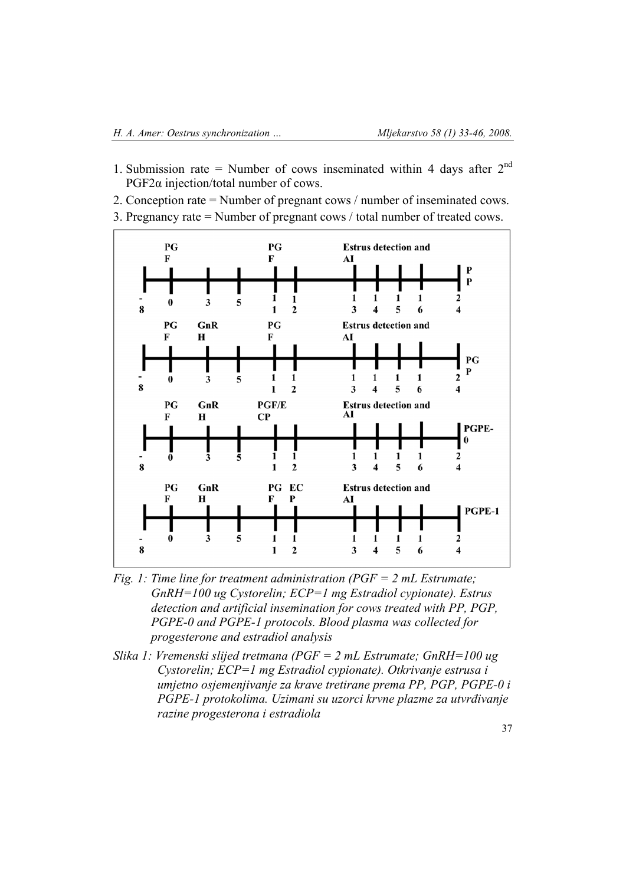- 1. Submission rate = Number of cows inseminated within 4 days after  $2<sup>nd</sup>$ PGF2α injection/total number of cows.
- 2. Conception rate = Number of pregnant cows / number of inseminated cows.
- 3. Pregnancy rate = Number of pregnant cows / total number of treated cows.



- *Fig. 1: Time line for treatment administration (PGF = 2 mL Estrumate; GnRH=100 ug Cystorelin; ECP=1 mg Estradiol cypionate). Estrus detection and artificial insemination for cows treated with PP, PGP, PGPE-0 and PGPE-1 protocols. Blood plasma was collected for progesterone and estradiol analysis*
- *Slika 1: Vremenski slijed tretmana (PGF = 2 mL Estrumate; GnRH=100 ug Cystorelin; ECP=1 mg Estradiol cypionate). Otkrivanje estrusa i umjetno osjemenjivanje za krave tretirane prema PP, PGP, PGPE-0 i PGPE-1 protokolima. Uzimani su uzorci krvne plazme za utvrđivanje razine progesterona i estradiola*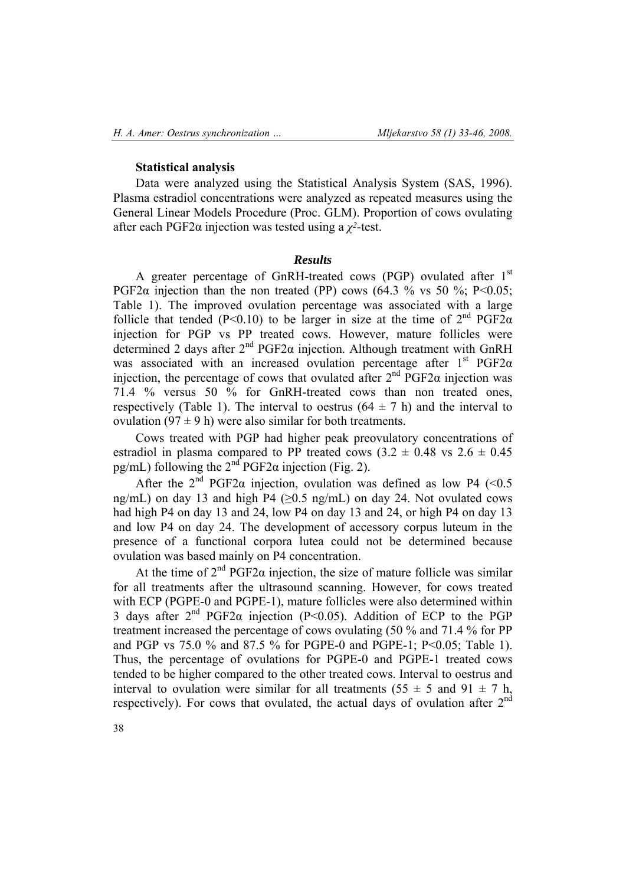### **Statistical analysis**

Data were analyzed using the Statistical Analysis System (SAS, 1996). Plasma estradiol concentrations were analyzed as repeated measures using the General Linear Models Procedure (Proc. GLM). Proportion of cows ovulating after each PGF2α injection was tested using a *χ2*-test.

### *Results*

A greater percentage of GnRH-treated cows (PGP) ovulated after  $1<sup>st</sup>$ PGF2 $\alpha$  injection than the non treated (PP) cows (64.3 % vs 50 %; P<0.05; Table 1). The improved ovulation percentage was associated with a large follicle that tended (P<0.10) to be larger in size at the time of  $2<sup>nd</sup> PGF2\alpha$ injection for PGP vs PP treated cows. However, mature follicles were determined 2 days after  $2<sup>nd</sup> PGF2\alpha$  injection. Although treatment with GnRH was associated with an increased ovulation percentage after  $1<sup>st</sup> PGF2\alpha$ injection, the percentage of cows that ovulated after  $2<sup>nd</sup>$  PGF2 $\alpha$  injection was 71.4 % versus 50 % for GnRH-treated cows than non treated ones, respectively (Table 1). The interval to oestrus  $(64 \pm 7 \text{ h})$  and the interval to ovulation (97  $\pm$  9 h) were also similar for both treatments.

Cows treated with PGP had higher peak preovulatory concentrations of estradiol in plasma compared to PP treated cows  $(3.2 \pm 0.48 \text{ vs } 2.6 \pm 0.45 \text{ s})$ pg/mL) following the  $2<sup>nd</sup>$  PGF2 $\alpha$  injection (Fig. 2).

After the  $2<sup>nd</sup>$  PGF2 $\alpha$  injection, ovulation was defined as low P4 (<0.5) ng/mL) on day 13 and high P4 ( $\geq$ 0.5 ng/mL) on day 24. Not ovulated cows had high P4 on day 13 and 24, low P4 on day 13 and 24, or high P4 on day 13 and low P4 on day 24. The development of accessory corpus luteum in the presence of a functional corpora lutea could not be determined because ovulation was based mainly on P4 concentration.

At the time of  $2^{nd}$  PGF2 $\alpha$  injection, the size of mature follicle was similar for all treatments after the ultrasound scanning. However, for cows treated with ECP (PGPE-0 and PGPE-1), mature follicles were also determined within 3 days after  $2^{nd}$  PGF2 $\alpha$  injection (P<0.05). Addition of ECP to the PGP treatment increased the percentage of cows ovulating (50 % and 71.4 % for PP and PGP vs 75.0 % and 87.5 % for PGPE-0 and PGPE-1; P<0.05; Table 1). Thus, the percentage of ovulations for PGPE-0 and PGPE-1 treated cows tended to be higher compared to the other treated cows. Interval to oestrus and interval to ovulation were similar for all treatments (55  $\pm$  5 and 91  $\pm$  7 h, respectively). For cows that ovulated, the actual days of ovulation after  $2<sup>nd</sup>$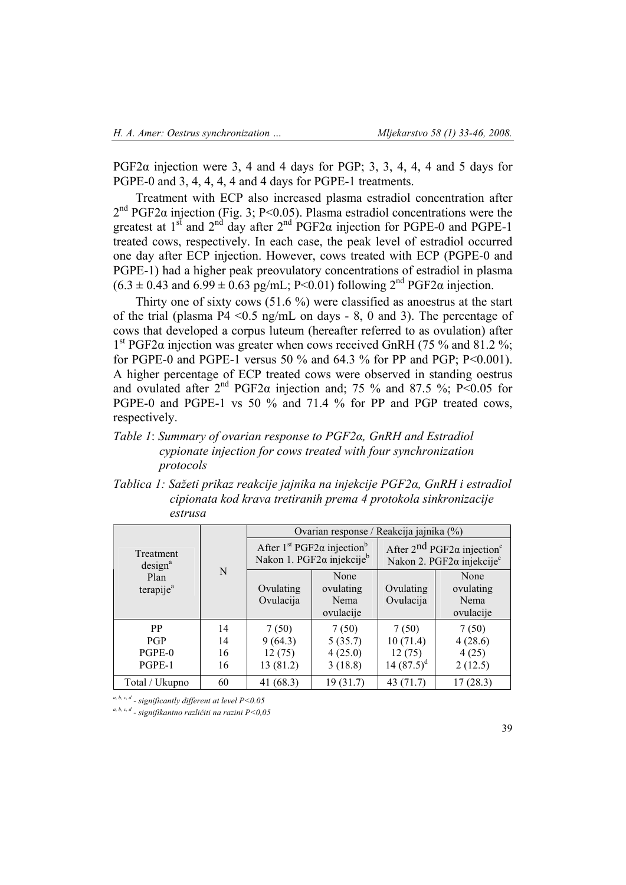PGF2 $\alpha$  injection were 3, 4 and 4 days for PGP; 3, 3, 4, 4, 4 and 5 days for PGPE-0 and 3, 4, 4, 4, 4 and 4 days for PGPE-1 treatments.

Treatment with ECP also increased plasma estradiol concentration after  $2<sup>nd</sup> PGF2\alpha$  injection (Fig. 3; P<0.05). Plasma estradiol concentrations were the greatest at  $1<sup>st</sup>$  and  $2<sup>nd</sup>$  day after  $2<sup>nd</sup>$  PGF2 $\alpha$  injection for PGPE-0 and PGPE-1 treated cows, respectively. In each case, the peak level of estradiol occurred one day after ECP injection. However, cows treated with ECP (PGPE-0 and PGPE-1) had a higher peak preovulatory concentrations of estradiol in plasma  $(6.3 \pm 0.43$  and  $6.99 \pm 0.63$  pg/mL; P<0.01) following  $2^{nd}$  PGF2 $\alpha$  injection.

Thirty one of sixty cows (51.6 %) were classified as anoestrus at the start of the trial (plasma  $P4 \le 0.5$  ng/mL on days  $-8$ , 0 and 3). The percentage of cows that developed a corpus luteum (hereafter referred to as ovulation) after 1<sup>st</sup> PGF2α injection was greater when cows received GnRH (75 % and 81.2 %; for PGPE-0 and PGPE-1 versus 50 % and 64.3 % for PP and PGP; P<0.001). A higher percentage of ECP treated cows were observed in standing oestrus and ovulated after  $2^{nd}$  PGF2 $\alpha$  injection and; 75 % and 87.5 %; P<0.05 for PGPE-0 and PGPE-1 vs 50 % and 71.4 % for PP and PGP treated cows, respectively.

# *Table 1*: *Summary of ovarian response to PGF2α, GnRH and Estradiol cypionate injection for cows treated with four synchronization protocols*

*Tablica 1: Sažeti prikaz reakcije jajnika na injekcije PGF2α, GnRH i estradiol cipionata kod krava tretiranih prema 4 protokola sinkronizacije estrusa* 

|                                                                   | N                    | Ovarian response / Reakcija jajnika (%)                                                                     |                                        |                                                                                                      |                                        |
|-------------------------------------------------------------------|----------------------|-------------------------------------------------------------------------------------------------------------|----------------------------------------|------------------------------------------------------------------------------------------------------|----------------------------------------|
| Treatment<br>design <sup>a</sup><br>Plan<br>terapije <sup>a</sup> |                      | After 1 <sup>st</sup> PGF2 $\alpha$ injection <sup>b</sup><br>Nakon 1. PGF2 $\alpha$ injekcije <sup>b</sup> |                                        | After $2^{nd}$ PGF2 $\alpha$ injection <sup>c</sup><br>Nakon 2. PGF2 $\alpha$ injekcije <sup>c</sup> |                                        |
|                                                                   |                      | Ovulating<br>Ovulacija                                                                                      | None<br>ovulating<br>Nema<br>ovulacije | Ovulating<br>Ovulacija                                                                               | None<br>ovulating<br>Nema<br>ovulacije |
| <b>PP</b><br><b>PGP</b><br>PGPE-0<br>PGPE-1                       | 14<br>14<br>16<br>16 | 7(50)<br>9(64.3)<br>12(75)<br>13 (81.2)                                                                     | 7(50)<br>5(35.7)<br>4(25.0)<br>3(18.8) | 7(50)<br>10(71.4)<br>12(75)<br>14 $(87.5)^d$                                                         | 7(50)<br>4(28.6)<br>4(25)<br>2(12.5)   |
| Total / Ukupno                                                    | 60                   | 41 (68.3)                                                                                                   | 19(31.7)                               | 43 $(71.7)$                                                                                          | 17(28.3)                               |

*a, b, c, d - significantly different at level P<0.05*

*a, b, c, d - signifikantno različiti na razini P<0,05*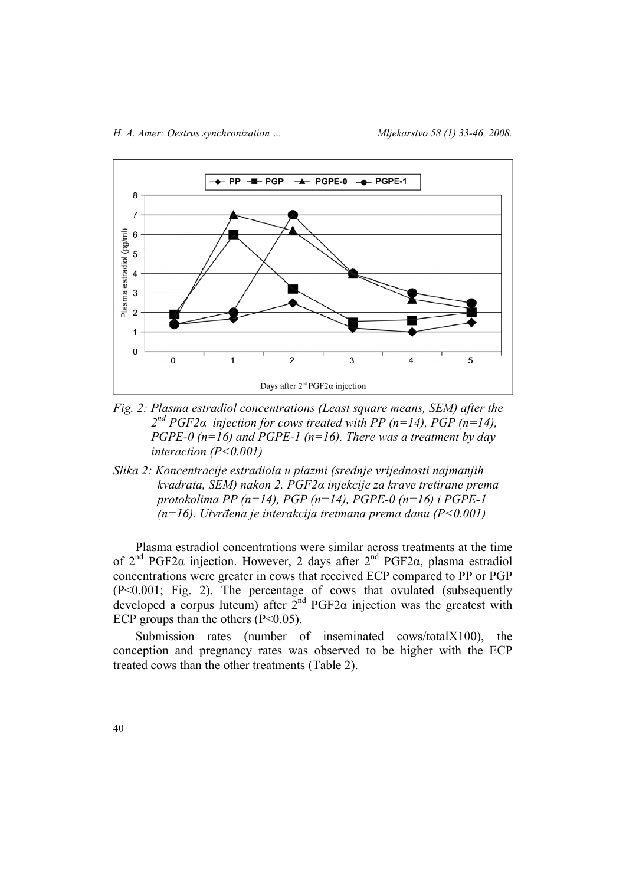

- *Fig. 2: Plasma estradiol concentrations (Least square means, SEM) after the 2nd PGF2α injection for cows treated with PP (n=14), PGP (n=14), PGPE-0 (n=16) and PGPE-1 (n=16). There was a treatment by day interaction (P<0.001)*
- *Slika 2: Koncentracije estradiola u plazmi (srednje vrijednosti najmanjih kvadrata, SEM) nakon 2. PGF2α injekcije za krave tretirane prema protokolima PP (n=14), PGP (n=14), PGPE-0 (n=16) i PGPE-1 (n=16). Utvrđena je interakcija tretmana prema danu (P<0.001)*

Plasma estradiol concentrations were similar across treatments at the time of  $2<sup>nd</sup>$  PGF2α injection. However, 2 days after  $2<sup>nd</sup>$  PGF2α, plasma estradiol concentrations were greater in cows that received ECP compared to PP or PGP (P<0.001; Fig. 2). The percentage of cows that ovulated (subsequently developed a corpus luteum) after  $2^{nd}$  PGF2 $\alpha$  injection was the greatest with ECP groups than the others  $(P<0.05)$ .

Submission rates (number of inseminated cows/totalX100), the conception and pregnancy rates was observed to be higher with the ECP treated cows than the other treatments (Table 2).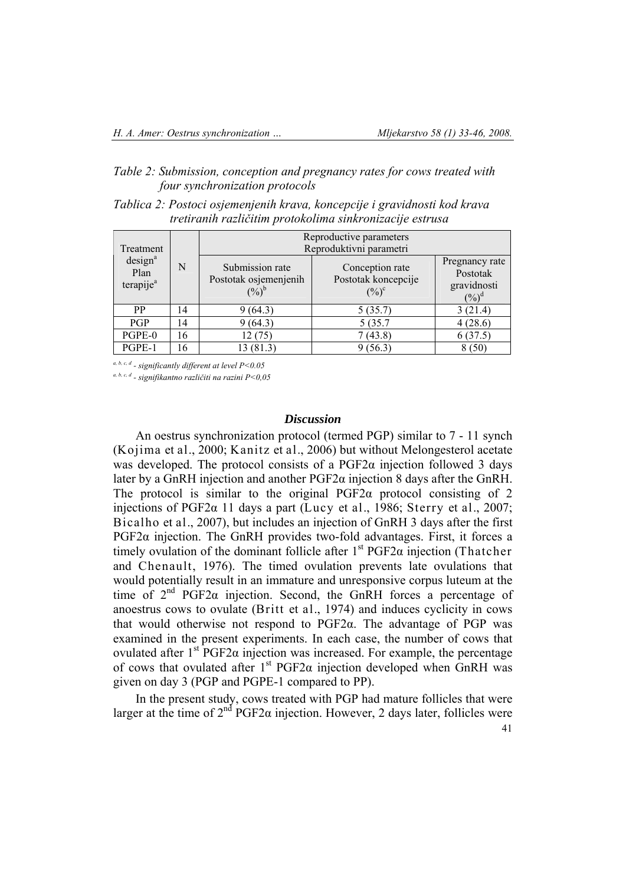# *Table 2: Submission, conception and pregnancy rates for cows treated with four synchronization protocols*

| Tablica 2: Postoci osjemenjenih krava, koncepcije i gravidnosti kod krava |
|---------------------------------------------------------------------------|
| tretiranih različitim protokolima sinkronizacije estrusa                  |

|                                                                   | N  | Reproductive parameters                                    |                                                             |                                                       |  |  |
|-------------------------------------------------------------------|----|------------------------------------------------------------|-------------------------------------------------------------|-------------------------------------------------------|--|--|
| Treatment<br>design <sup>a</sup><br>Plan<br>terapije <sup>a</sup> |    | Reproduktivni parametri                                    |                                                             |                                                       |  |  |
|                                                                   |    | Submission rate<br>Postotak osjemenjenih<br>$(\%)^{\flat}$ | Conception rate<br>Postotak koncepcije<br>$(\frac{0}{0})^c$ | Pregnancy rate<br>Postotak<br>gravidnosti<br>$(\%)^d$ |  |  |
| <b>PP</b>                                                         | 14 | 9(64.3)                                                    | 5(35.7)                                                     | 3(21.4)                                               |  |  |
| <b>PGP</b>                                                        | 14 | 9(64.3)                                                    | 5 (35.7                                                     | 4(28.6)                                               |  |  |
| PGPE-0                                                            | 16 | 12 (75)                                                    | 7(43.8)                                                     | 6(37.5)                                               |  |  |
| PGPE-1                                                            | 16 | 13 (81.3)                                                  | 9(56.3)                                                     | 8(50)                                                 |  |  |

*a, b, c, d - significantly different at level P<0.05*

*a, b, c, d - signifikantno različiti na razini P<0,05* 

### *Discussion*

An oestrus synchronization protocol (termed PGP) similar to 7 - 11 synch (Kojima et al., 2000; Kanitz et al., 2006) but without Melongesterol acetate was developed. The protocol consists of a  $PGF2\alpha$  injection followed 3 days later by a GnRH injection and another PGF2α injection 8 days after the GnRH. The protocol is similar to the original PGF2 $\alpha$  protocol consisting of 2 injections of PGF2α 11 days a part (Lucy et al., 1986; Sterry et al., 2007; Bicalho et al., 2007), but includes an injection of GnRH 3 days after the first PGF2 $\alpha$  injection. The GnRH provides two-fold advantages. First, it forces a timely ovulation of the dominant follicle after  $1<sup>st</sup> PGF2\alpha$  injection (Thatcher and Chenault, 1976). The timed ovulation prevents late ovulations that would potentially result in an immature and unresponsive corpus luteum at the time of 2nd PGF2α injection. Second, the GnRH forces a percentage of anoestrus cows to ovulate (Britt et al., 1974) and induces cyclicity in cows that would otherwise not respond to  $PGF2\alpha$ . The advantage of PGP was examined in the present experiments. In each case, the number of cows that ovulated after  $1<sup>st</sup>$  PGF2α injection was increased. For example, the percentage of cows that ovulated after  $1<sup>st</sup> PGF2\alpha$  injection developed when GnRH was given on day 3 (PGP and PGPE-1 compared to PP).

In the present study, cows treated with PGP had mature follicles that were larger at the time of  $2^{nd}$  PGF2 $\alpha$  injection. However, 2 days later, follicles were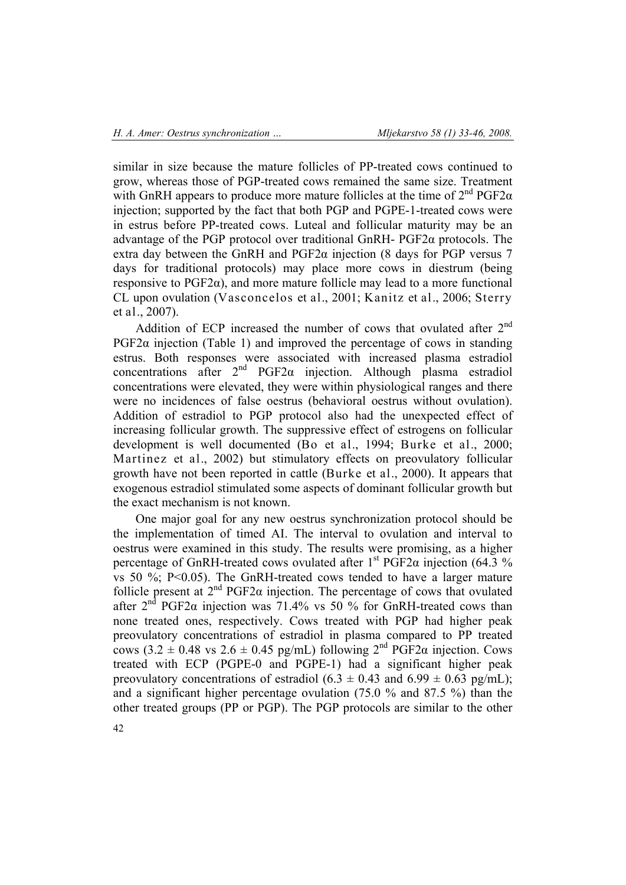similar in size because the mature follicles of PP-treated cows continued to grow, whereas those of PGP-treated cows remained the same size. Treatment with GnRH appears to produce more mature follicles at the time of  $2^{nd} PGF2\alpha$ injection; supported by the fact that both PGP and PGPE-1-treated cows were in estrus before PP-treated cows. Luteal and follicular maturity may be an advantage of the PGP protocol over traditional GnRH- PGF2α protocols. The extra day between the GnRH and  $PGF2\alpha$  injection (8 days for PGP versus 7 days for traditional protocols) may place more cows in diestrum (being responsive to  $PGF2\alpha$ ), and more mature follicle may lead to a more functional CL upon ovulation (Vasconcelos et al., 2001; Kanitz et al., 2006; Sterry et al., 2007).

Addition of ECP increased the number of cows that ovulated after 2<sup>nd</sup> PGF2 $\alpha$  injection (Table 1) and improved the percentage of cows in standing estrus. Both responses were associated with increased plasma estradiol concentrations after  $2<sup>nd</sup>$  PGF2 $\alpha$  injection. Although plasma estradiol concentrations were elevated, they were within physiological ranges and there were no incidences of false oestrus (behavioral oestrus without ovulation). Addition of estradiol to PGP protocol also had the unexpected effect of increasing follicular growth. The suppressive effect of estrogens on follicular development is well documented (Bo et al., 1994; Burke et al., 2000; Martinez et al., 2002) but stimulatory effects on preovulatory follicular growth have not been reported in cattle (Burke et al., 2000). It appears that exogenous estradiol stimulated some aspects of dominant follicular growth but the exact mechanism is not known.

One major goal for any new oestrus synchronization protocol should be the implementation of timed AI. The interval to ovulation and interval to oestrus were examined in this study. The results were promising, as a higher percentage of GnRH-treated cows ovulated after  $1<sup>st</sup> PGF2\alpha$  injection (64.3 %) vs 50 %;  $P<0.05$ ). The GnRH-treated cows tended to have a larger mature follicle present at  $2^{nd}$  PGF2 $\alpha$  injection. The percentage of cows that ovulated after  $2<sup>nd</sup>$  PGF2 $\alpha$  injection was 71.4% vs 50 % for GnRH-treated cows than none treated ones, respectively. Cows treated with PGP had higher peak preovulatory concentrations of estradiol in plasma compared to PP treated cows (3.2  $\pm$  0.48 vs 2.6  $\pm$  0.45 pg/mL) following 2<sup>nd</sup> PGF2 $\alpha$  injection. Cows treated with ECP (PGPE-0 and PGPE-1) had a significant higher peak preovulatory concentrations of estradiol (6.3  $\pm$  0.43 and 6.99  $\pm$  0.63 pg/mL); and a significant higher percentage ovulation (75.0 % and 87.5 %) than the other treated groups (PP or PGP). The PGP protocols are similar to the other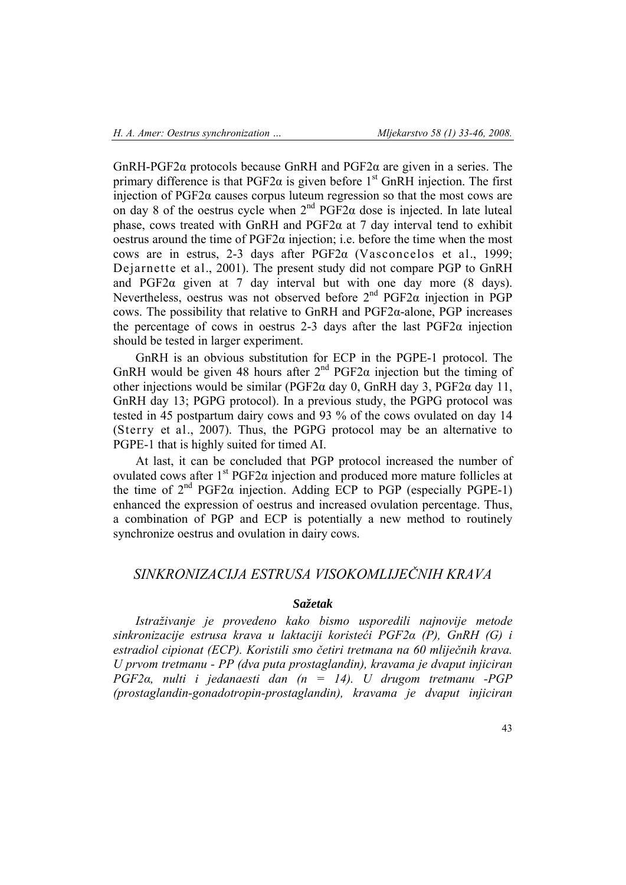GnRH-PGF2α protocols because GnRH and PGF2α are given in a series. The primary difference is that  $PGF2\alpha$  is given before  $1<sup>st</sup>$  GnRH injection. The first injection of  $PGF2\alpha$  causes corpus luteum regression so that the most cows are on day 8 of the oestrus cycle when  $2<sup>nd</sup> PGF2\alpha$  dose is injected. In late luteal phase, cows treated with GnRH and  $PGF2\alpha$  at 7 day interval tend to exhibit oestrus around the time of  $PGF2\alpha$  injection; i.e. before the time when the most cows are in estrus, 2-3 days after  $PGF2\alpha$  (Vasconcelos et al., 1999; Dejarnette et al., 2001). The present study did not compare PGP to GnRH and PGF2α given at 7 day interval but with one day more (8 days). Nevertheless, oestrus was not observed before  $2<sup>nd</sup>$  PGF2 $\alpha$  injection in PGP cows. The possibility that relative to GnRH and PGF2α-alone, PGP increases the percentage of cows in oestrus 2-3 days after the last  $PGF2\alpha$  injection should be tested in larger experiment.

GnRH is an obvious substitution for ECP in the PGPE-1 protocol. The GnRH would be given 48 hours after  $2<sup>nd</sup>$  PGF2 $\alpha$  injection but the timing of other injections would be similar ( $PGF2\alpha$  day 0, GnRH day 3,  $PGF2\alpha$  day 11, GnRH day 13; PGPG protocol). In a previous study, the PGPG protocol was tested in 45 postpartum dairy cows and 93 % of the cows ovulated on day 14 (Sterry et al., 2007). Thus, the PGPG protocol may be an alternative to PGPE-1 that is highly suited for timed AI.

At last, it can be concluded that PGP protocol increased the number of ovulated cows after  $1<sup>st</sup>$  PGF2α injection and produced more mature follicles at the time of  $2<sup>nd</sup> PGF2\alpha$  injection. Adding ECP to PGP (especially PGPE-1) enhanced the expression of oestrus and increased ovulation percentage. Thus, a combination of PGP and ECP is potentially a new method to routinely synchronize oestrus and ovulation in dairy cows.

# *SINKRONIZACIJA ESTRUSA VISOKOMLIJEČNIH KRAVA*

# *Sažetak*

*Istraživanje je provedeno kako bismo usporedili najnovije metode sinkronizacije estrusa krava u laktaciji koristeći PGF2α (P), GnRH (G) i estradiol cipionat (ECP). Koristili smo četiri tretmana na 60 mliječnih krava. U prvom tretmanu - PP (dva puta prostaglandin), kravama je dvaput injiciran PGF2α, nulti i jedanaesti dan (n = 14). U drugom tretmanu -PGP (prostaglandin-gonadotropin-prostaglandin), kravama je dvaput injiciran*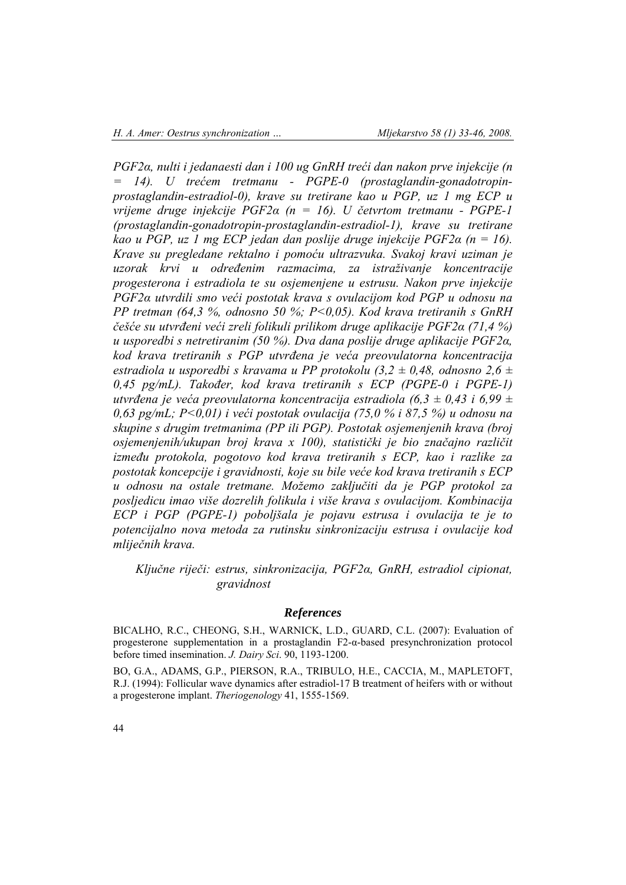*PGF2α, nulti i jedanaesti dan i 100 ug GnRH treći dan nakon prve injekcije (n = 14). U trećem tretmanu - PGPE-0 (prostaglandin-gonadotropinprostaglandin-estradiol-0), krave su tretirane kao u PGP, uz 1 mg ECP u vrijeme druge injekcije PGF2α (n = 16). U četvrtom tretmanu - PGPE-1 (prostaglandin-gonadotropin-prostaglandin-estradiol-1), krave su tretirane kao u PGP, uz 1 mg ECP jedan dan poslije druge injekcije PGF2α (n = 16). Krave su pregledane rektalno i pomoću ultrazvuka. Svakoj kravi uziman je uzorak krvi u određenim razmacima, za istraživanje koncentracije progesterona i estradiola te su osjemenjene u estrusu. Nakon prve injekcije PGF2α utvrdili smo veći postotak krava s ovulacijom kod PGP u odnosu na PP tretman (64,3 %, odnosno 50 %; P<0,05). Kod krava tretiranih s GnRH češće su utvrđeni veći zreli folikuli prilikom druge aplikacije PGF2α (71,4 %) u usporedbi s netretiranim (50 %). Dva dana poslije druge aplikacije PGF2α, kod krava tretiranih s PGP utvrđena je veća preovulatorna koncentracija estradiola u usporedbi s kravama u PP protokolu (3,2 ± 0,48, odnosno 2,6 ± 0,45 pg/mL). Također, kod krava tretiranih s ECP (PGPE-0 i PGPE-1) utvrđena je veća preovulatorna koncentracija estradiola (6,3 ± 0,43 i 6,99 ± 0,63 pg/mL; P<0,01) i veći postotak ovulacija (75,0 % i 87,5 %) u odnosu na skupine s drugim tretmanima (PP ili PGP). Postotak osjemenjenih krava (broj osjemenjenih/ukupan broj krava x 100), statistički je bio značajno različit između protokola, pogotovo kod krava tretiranih s ECP, kao i razlike za postotak koncepcije i gravidnosti, koje su bile veće kod krava tretiranih s ECP u odnosu na ostale tretmane. Možemo zaključiti da je PGP protokol za posljedicu imao više dozrelih folikula i više krava s ovulacijom. Kombinacija ECP i PGP (PGPE-1) poboljšala je pojavu estrusa i ovulacija te je to potencijalno nova metoda za rutinsku sinkronizaciju estrusa i ovulacije kod mliječnih krava.* 

*Ključne riječi: estrus, sinkronizacija, PGF2α, GnRH, estradiol cipionat, gravidnost*

#### *References*

BICALHO, R.C., CHEONG, S.H., WARNICK, L.D., GUARD, C.L. (2007): Evaluation of progesterone supplementation in a prostaglandin F2-α-based presynchronization protocol before timed insemination. *J. Dairy Sci*. 90, 1193-1200.

BO, G.A., ADAMS, G.P., PIERSON, R.A., TRIBULO, H.E., CACCIA, M., MAPLETOFT, R.J. (1994): Follicular wave dynamics after estradiol-17 B treatment of heifers with or without a progesterone implant. *Theriogenology* 41, 1555-1569.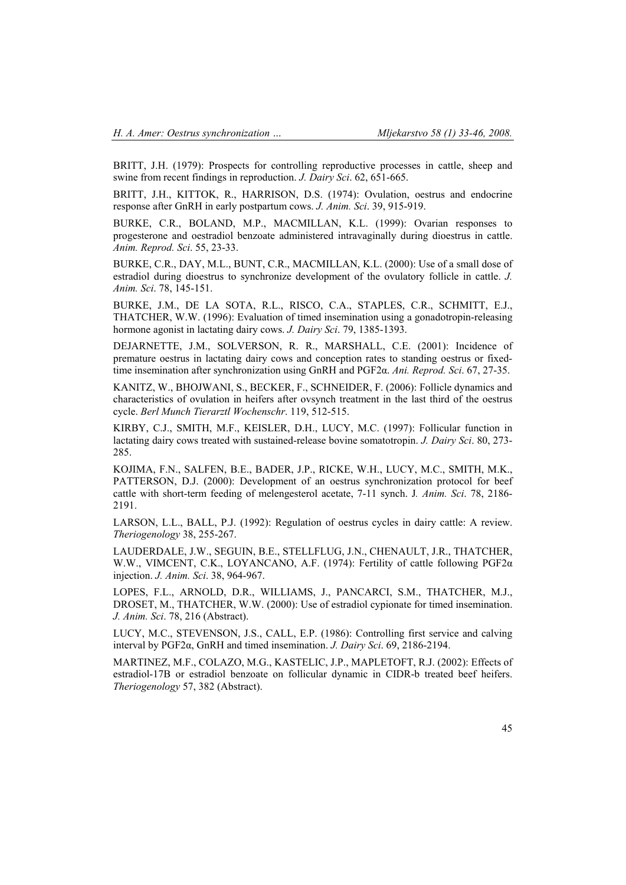BRITT, J.H. (1979): Prospects for controlling reproductive processes in cattle, sheep and swine from recent findings in reproduction. *J. Dairy Sci*. 62, 651-665.

BRITT, J.H., KITTOK, R., HARRISON, D.S. (1974): Ovulation, oestrus and endocrine response after GnRH in early postpartum cows. *J. Anim. Sci*. 39, 915-919.

BURKE, C.R., BOLAND, M.P., MACMILLAN, K.L. (1999): Ovarian responses to progesterone and oestradiol benzoate administered intravaginally during dioestrus in cattle. *Anim. Reprod. Sci*. 55, 23-33.

BURKE, C.R., DAY, M.L., BUNT, C.R., MACMILLAN, K.L. (2000): Use of a small dose of estradiol during dioestrus to synchronize development of the ovulatory follicle in cattle. *J. Anim. Sci*. 78, 145-151.

BURKE, J.M., DE LA SOTA, R.L., RISCO, C.A., STAPLES, C.R., SCHMITT, E.J., THATCHER, W.W. (1996): Evaluation of timed insemination using a gonadotropin-releasing hormone agonist in lactating dairy cows. *J. Dairy Sci*. 79, 1385-1393.

DEJARNETTE, J.M., SOLVERSON, R. R., MARSHALL, C.E. (2001): Incidence of premature oestrus in lactating dairy cows and conception rates to standing oestrus or fixedtime insemination after synchronization using GnRH and PGF2α. *Ani. Reprod. Sci*. 67, 27-35.

KANITZ, W., BHOJWANI, S., BECKER, F., SCHNEIDER, F. (2006): Follicle dynamics and characteristics of ovulation in heifers after ovsynch treatment in the last third of the oestrus cycle. *Berl Munch Tierarztl Wochenschr*. 119, 512-515.

KIRBY, C.J., SMITH, M.F., KEISLER, D.H., LUCY, M.C. (1997): Follicular function in lactating dairy cows treated with sustained-release bovine somatotropin. *J. Dairy Sci*. 80, 273- 285.

KOJIMA, F.N., SALFEN, B.E., BADER, J.P., RICKE, W.H., LUCY, M.C., SMITH, M.K., PATTERSON, D.J. (2000): Development of an oestrus synchronization protocol for beef cattle with short-term feeding of melengesterol acetate, 7-11 synch. J*. Anim. Sci*. 78, 2186- 2191.

LARSON, L.L., BALL, P.J. (1992): Regulation of oestrus cycles in dairy cattle: A review. *Theriogenology* 38, 255-267.

LAUDERDALE, J.W., SEGUIN, B.E., STELLFLUG, J.N., CHENAULT, J.R., THATCHER, W.W., VIMCENT, C.K., LOYANCANO, A.F. (1974): Fertility of cattle following PGF2α injection. *J. Anim. Sci*. 38, 964-967.

LOPES, F.L., ARNOLD, D.R., WILLIAMS, J., PANCARCI, S.M., THATCHER, M.J., DROSET, M., THATCHER, W.W. (2000): Use of estradiol cypionate for timed insemination. *J. Anim. Sci*. 78, 216 (Abstract).

LUCY, M.C., STEVENSON, J.S., CALL, E.P. (1986): Controlling first service and calving interval by PGF2α, GnRH and timed insemination. *J. Dairy Sci*. 69, 2186-2194.

MARTINEZ, M.F., COLAZO, M.G., KASTELIC, J.P., MAPLETOFT, R.J. (2002): Effects of estradiol-17B or estradiol benzoate on follicular dynamic in CIDR-b treated beef heifers. *Theriogenology* 57, 382 (Abstract).